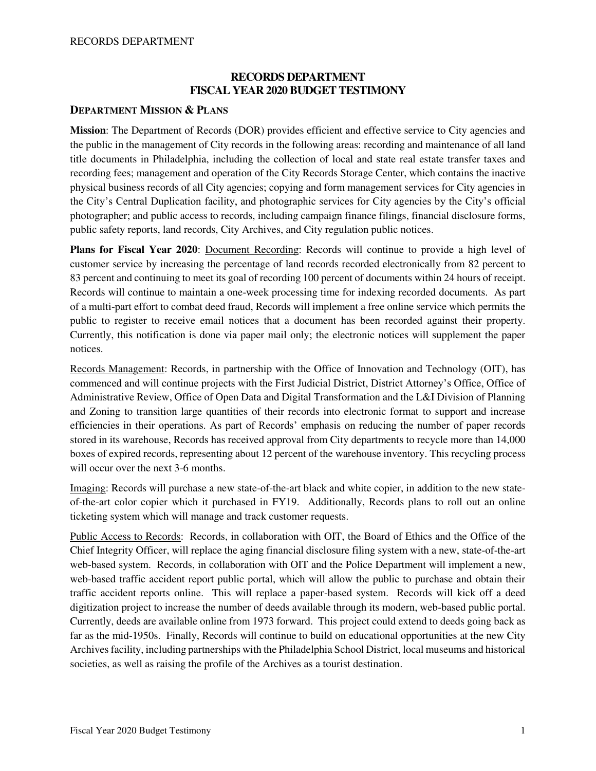#### **RECORDS DEPARTMENT FISCAL YEAR 2020 BUDGET TESTIMONY**

#### **DEPARTMENT MISSION & PLANS**

**Mission**: The Department of Records (DOR) provides efficient and effective service to City agencies and the public in the management of City records in the following areas: recording and maintenance of all land title documents in Philadelphia, including the collection of local and state real estate transfer taxes and recording fees; management and operation of the City Records Storage Center, which contains the inactive physical business records of all City agencies; copying and form management services for City agencies in the City's Central Duplication facility, and photographic services for City agencies by the City's official photographer; and public access to records, including campaign finance filings, financial disclosure forms, public safety reports, land records, City Archives, and City regulation public notices.

**Plans for Fiscal Year 2020**: Document Recording: Records will continue to provide a high level of customer service by increasing the percentage of land records recorded electronically from 82 percent to 83 percent and continuing to meet its goal of recording 100 percent of documents within 24 hours of receipt. Records will continue to maintain a one-week processing time for indexing recorded documents. As part of a multi-part effort to combat deed fraud, Records will implement a free online service which permits the public to register to receive email notices that a document has been recorded against their property. Currently, this notification is done via paper mail only; the electronic notices will supplement the paper notices.

Records Management: Records, in partnership with the Office of Innovation and Technology (OIT), has commenced and will continue projects with the First Judicial District, District Attorney's Office, Office of Administrative Review, Office of Open Data and Digital Transformation and the L&I Division of Planning and Zoning to transition large quantities of their records into electronic format to support and increase efficiencies in their operations. As part of Records' emphasis on reducing the number of paper records stored in its warehouse, Records has received approval from City departments to recycle more than 14,000 boxes of expired records, representing about 12 percent of the warehouse inventory. This recycling process will occur over the next 3-6 months.

Imaging: Records will purchase a new state-of-the-art black and white copier, in addition to the new stateof-the-art color copier which it purchased in FY19. Additionally, Records plans to roll out an online ticketing system which will manage and track customer requests.

Public Access to Records: Records, in collaboration with OIT, the Board of Ethics and the Office of the Chief Integrity Officer, will replace the aging financial disclosure filing system with a new, state-of-the-art web-based system. Records, in collaboration with OIT and the Police Department will implement a new, web-based traffic accident report public portal, which will allow the public to purchase and obtain their traffic accident reports online. This will replace a paper-based system. Records will kick off a deed digitization project to increase the number of deeds available through its modern, web-based public portal. Currently, deeds are available online from 1973 forward. This project could extend to deeds going back as far as the mid-1950s. Finally, Records will continue to build on educational opportunities at the new City Archives facility, including partnerships with the Philadelphia School District, local museums and historical societies, as well as raising the profile of the Archives as a tourist destination.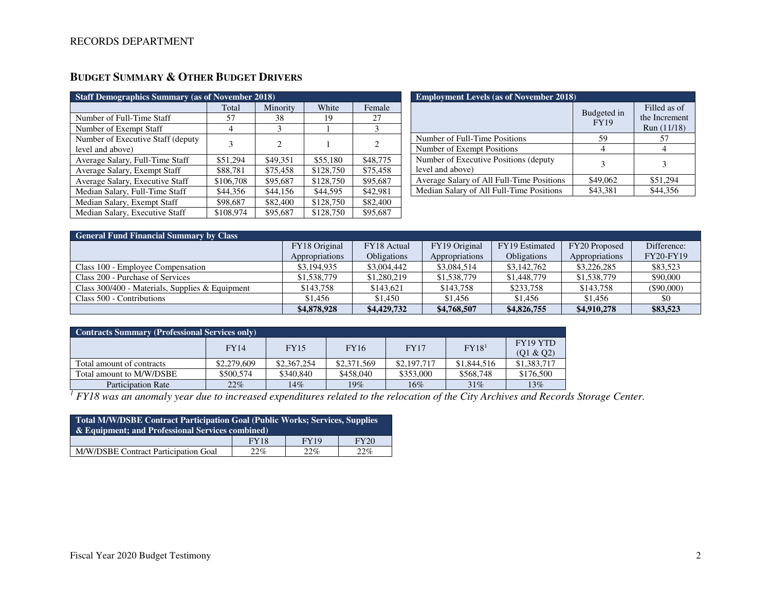| <b>Staff Demographics Summary (as of November 2018)</b> |           |                |           |          |  |  |  |  |
|---------------------------------------------------------|-----------|----------------|-----------|----------|--|--|--|--|
|                                                         | Total     | Minority       | White     | Female   |  |  |  |  |
| Number of Full-Time Staff                               | 57        | 38             | 19        | 27       |  |  |  |  |
| Number of Exempt Staff                                  | 4         | 3              |           | 3        |  |  |  |  |
| Number of Executive Staff (deputy                       | 3         | $\mathfrak{D}$ |           | 2        |  |  |  |  |
| level and above)                                        |           |                |           |          |  |  |  |  |
| Average Salary, Full-Time Staff                         | \$51,294  | \$49,351       | \$55,180  | \$48,775 |  |  |  |  |
| Average Salary, Exempt Staff                            | \$88,781  | \$75,458       | \$128,750 | \$75,458 |  |  |  |  |
| Average Salary, Executive Staff                         | \$106,708 | \$95,687       | \$128,750 | \$95,687 |  |  |  |  |
| Median Salary, Full-Time Staff                          | \$44,356  | \$44,156       | \$44,595  | \$42,981 |  |  |  |  |
| Median Salary, Exempt Staff                             | \$98,687  | \$82,400       | \$128,750 | \$82,400 |  |  |  |  |
| Median Salary, Executive Staff                          | \$108,974 | \$95,687       | \$128,750 | \$95,687 |  |  |  |  |

### **BUDGET SUMMARY & OTHER BUDGET DRIVERS**

| <b>Employment Levels (as of November 2018)</b>            |                            |                                              |  |  |  |  |
|-----------------------------------------------------------|----------------------------|----------------------------------------------|--|--|--|--|
|                                                           | Budgeted in<br><b>FY19</b> | Filled as of<br>the Increment<br>Run (11/18) |  |  |  |  |
| Number of Full-Time Positions                             | 59                         | 57                                           |  |  |  |  |
| Number of Exempt Positions                                |                            |                                              |  |  |  |  |
| Number of Executive Positions (deputy<br>level and above) | 3                          |                                              |  |  |  |  |
| Average Salary of All Full-Time Positions                 | \$49,062                   | \$51,294                                     |  |  |  |  |
| Median Salary of All Full-Time Positions                  | \$43,381                   | \$44,356                                     |  |  |  |  |

| <b>General Fund Financial Summary by Class</b>  |                |                    |                |                    |                |                  |  |  |  |
|-------------------------------------------------|----------------|--------------------|----------------|--------------------|----------------|------------------|--|--|--|
|                                                 | FY18 Original  | FY18 Actual        | FY19 Original  | FY19 Estimated     | FY20 Proposed  | Difference:      |  |  |  |
|                                                 | Appropriations | <b>Obligations</b> | Appropriations | <b>Obligations</b> | Appropriations | <b>FY20-FY19</b> |  |  |  |
| Class 100 - Employee Compensation               | \$3,194,935    | \$3,004,442        | \$3,084,514    | \$3,142,762        | \$3,226,285    | \$83,523         |  |  |  |
| Class 200 - Purchase of Services                | \$1,538,779    | \$1,280,219        | \$1,538,779    | \$1,448,779        | \$1,538,779    | \$90,000         |  |  |  |
| Class 300/400 - Materials, Supplies & Equipment | \$143,758      | \$143,621          | \$143,758      | \$233,758          | \$143,758      | $(\$90,000)$     |  |  |  |
| Class 500 - Contributions                       | \$1,456        | \$1,450            | \$1,456        | \$1,456            | \$1.456        | \$0              |  |  |  |
|                                                 | \$4,878,928    | \$4,429,732        | \$4,768,507    | \$4,826,755        | \$4,910,278    | \$83,523         |  |  |  |

| <b>Contracts Summary (Professional Services only)</b> |             |             |             |             |                   |                       |  |  |
|-------------------------------------------------------|-------------|-------------|-------------|-------------|-------------------|-----------------------|--|--|
|                                                       | <b>FY14</b> | <b>FY15</b> | <b>FY16</b> | <b>FY17</b> | FY18 <sup>1</sup> | FY19 YTD<br>(Q1 & Q2) |  |  |
| Total amount of contracts                             | \$2,279,609 | \$2,367,254 | \$2,371,569 | \$2,197,717 | \$1,844,516       | \$1,383,717           |  |  |
| Total amount to M/W/DSBE                              | \$500,574   | \$340,840   | \$458,040   | \$353,000   | \$568,748         | \$176,500             |  |  |
| <b>Participation Rate</b>                             | 22%         | 14%         | 19%         | 16%         | 31%               | 13%                   |  |  |

Participation Rate 19% 14% 19% 16% 16% 15% 13% 13% 13% 15% 15% 15% 15% 15% 15% 15% 15% 15% 16% 16% 16% 16% 16% 1<br><sup>1</sup> FY18 was an anomaly year due to increased expenditures related to the relocation of the City Archives and

| Total M/W/DSBE Contract Participation Goal (Public Works; Services, Supplies<br>$\&$ Equipment; and Professional Services combined) |             |             |             |  |  |  |
|-------------------------------------------------------------------------------------------------------------------------------------|-------------|-------------|-------------|--|--|--|
|                                                                                                                                     | <b>FY18</b> | <b>FY19</b> | <b>FY20</b> |  |  |  |
| M/W/DSBE Contract Participation Goal                                                                                                | 22%         | 22%         | $22\%$      |  |  |  |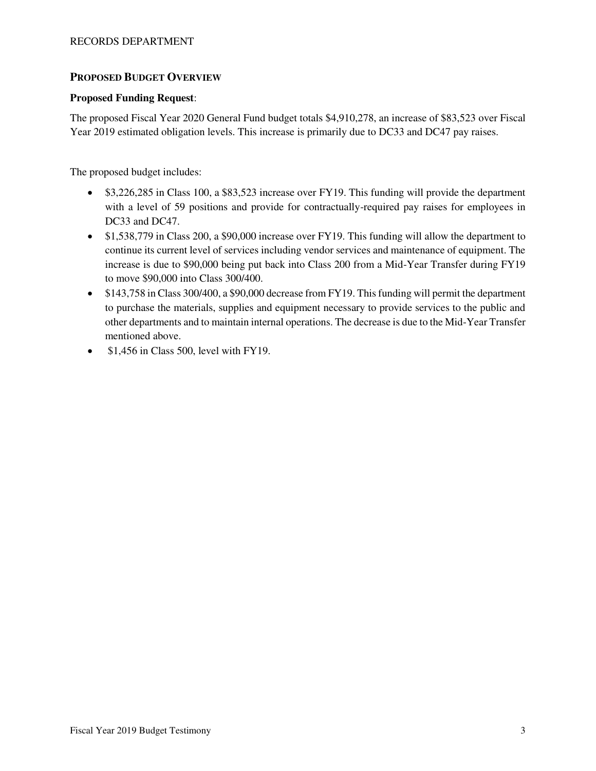#### **PROPOSED BUDGET OVERVIEW**

#### **Proposed Funding Request**:

The proposed Fiscal Year 2020 General Fund budget totals \$4,910,278, an increase of \$83,523 over Fiscal Year 2019 estimated obligation levels. This increase is primarily due to DC33 and DC47 pay raises.

The proposed budget includes:

- \$3,226,285 in Class 100, a \$83,523 increase over FY19. This funding will provide the department with a level of 59 positions and provide for contractually-required pay raises for employees in DC33 and DC47.
- \$1,538,779 in Class 200, a \$90,000 increase over FY19. This funding will allow the department to continue its current level of services including vendor services and maintenance of equipment. The increase is due to \$90,000 being put back into Class 200 from a Mid-Year Transfer during FY19 to move \$90,000 into Class 300/400.
- \$143,758 in Class 300/400, a \$90,000 decrease from FY19. This funding will permit the department to purchase the materials, supplies and equipment necessary to provide services to the public and other departments and to maintain internal operations. The decrease is due to the Mid-Year Transfer mentioned above.
- \$1,456 in Class 500, level with FY19.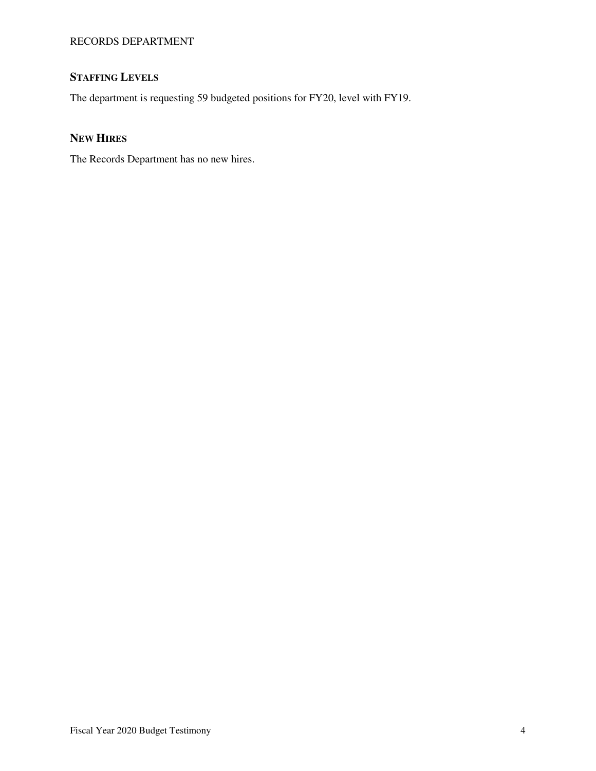### **STAFFING LEVELS**

The department is requesting 59 budgeted positions for FY20, level with FY19.

### **NEW HIRES**

The Records Department has no new hires.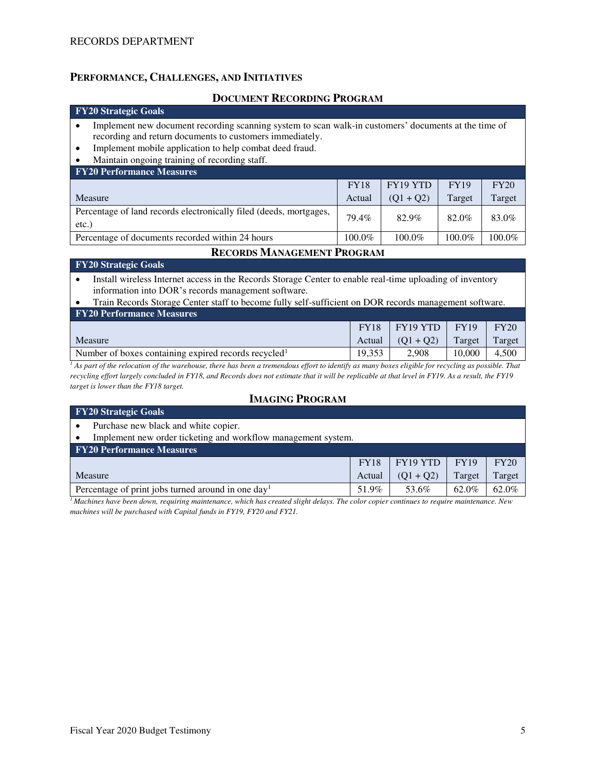#### **PERFORMANCE, CHALLENGES, AND INITIATIVES**

#### **DOCUMENT RECORDING PROGRAM**

#### **FY20 Strategic Goals**

- Implement new document recording scanning system to scan walk-in customers' documents at the time of recording and return documents to customers immediately.
- Implement mobile application to help combat deed fraud.
- Maintain ongoing training of recording staff.

#### **FY20 Performance Measures**

|                                                                                | <b>FY18</b> | FY19 YTD    | <b>FY19</b> | FY20   |
|--------------------------------------------------------------------------------|-------------|-------------|-------------|--------|
| Measure                                                                        | Actual      | $(01 + 02)$ | Target      | Target |
| Percentage of land records electronically filed (deeds, mortgages,<br>$etc.$ ) | 79.4%       | 82.9%       | 82.0%       | 83.0%  |
| Percentage of documents recorded within 24 hours                               | 100.0%      | 100.0%      | 100.0%      | 100.0% |

#### **RECORDS MANAGEMENT PROGRAM**

#### **FY20 Strategic Goals**

• Install wireless Internet access in the Records Storage Center to enable real-time uploading of inventory information into DOR's records management software.

| • Train Records Storage Center staff to become fully self-sufficient on DOR records management software. |  |                                    |  |             |  |  |  |  |
|----------------------------------------------------------------------------------------------------------|--|------------------------------------|--|-------------|--|--|--|--|
| <b>FY20 Performance Measures</b>                                                                         |  |                                    |  |             |  |  |  |  |
|                                                                                                          |  | $FY18$   FY19 YTD   FY19           |  | <b>FY20</b> |  |  |  |  |
|                                                                                                          |  | المسال المستحدث والمحامل والمستحدث |  |             |  |  |  |  |

Measure Actual  $(Q1 + Q2)$  Target Target Number of boxes containing expired records recycled<sup>1</sup>  $\vert$  19,353  $\vert$  2,908  $\vert$  10,000  $\vert$  4,500

<sup>1</sup> As part of the relocation of the warehouse, there has been a tremendous effort to identify as many boxes eligible for recycling as possible. That *recycling effort largely concluded in FY18, and Records does not estimate that it will be replicable at that level in FY19. As a result, the FY19 target is lower than the FY18 target.*

#### **IMAGING PROGRAM**

#### **FY20 Strategic Goals**  Purchase new black and white copier. Implement new order ticketing and workflow management system. **FY20 Performance Measures**  Measure FY18 Actual FY19 YTD  $(Q1 + Q2)$ FY19 Target FY20 Target Percentage of print jobs turned around in one day<sup>1</sup> 51.9% 53.6% 62.0% 62.0%

*<sup>1</sup>Machines have been down, requiring maintenance, which has created slight delays. The color copier continues to require maintenance. New machines will be purchased with Capital funds in FY19, FY20 and FY21.*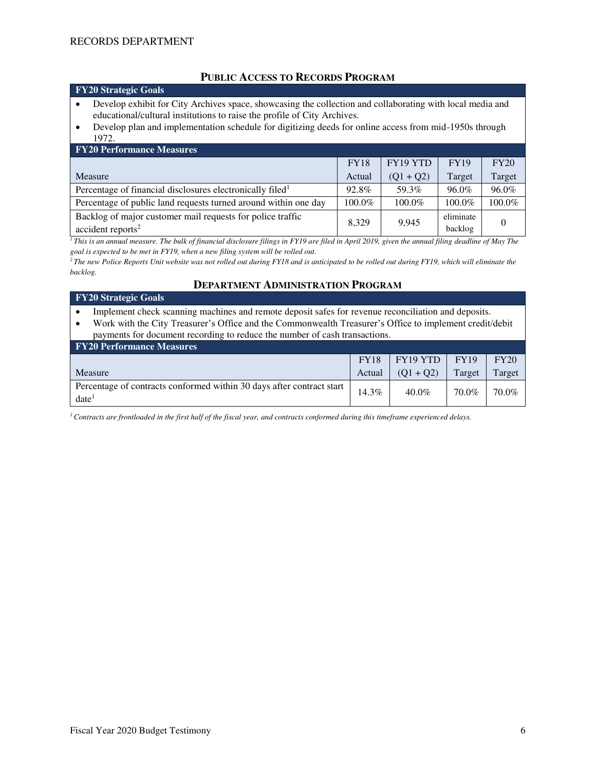**FY20 Strategic Goals** 

#### **PUBLIC ACCESS TO RECORDS PROGRAM**

- Develop exhibit for City Archives space, showcasing the collection and collaborating with local media and educational/cultural institutions to raise the profile of City Archives.
- Develop plan and implementation schedule for digitizing deeds for online access from mid-1950s through 1972.

| <b>FY20 Performance Measures</b>                                                              |             |             |                      |          |  |  |  |  |  |
|-----------------------------------------------------------------------------------------------|-------------|-------------|----------------------|----------|--|--|--|--|--|
|                                                                                               | <b>FY18</b> | FY19 YTD    | <b>FY19</b>          | FY20     |  |  |  |  |  |
| Measure                                                                                       | Actual      | $(Q1 + Q2)$ | Target               | Target   |  |  |  |  |  |
| Percentage of financial disclosures electronically filed <sup>1</sup>                         | 92.8%       | 59.3%       | 96.0%                | $96.0\%$ |  |  |  |  |  |
| Percentage of public land requests turned around within one day                               | 100.0%      | 100.0%      | 100.0%               | 100.0%   |  |  |  |  |  |
| Backlog of major customer mail requests for police traffic<br>$accident$ reports <sup>2</sup> | 8.329       | 9.945       | eliminate<br>backlog |          |  |  |  |  |  |

<sup>1</sup>*This is an annual measure. The bulk of financial disclosure filings in FY19 are filed in April 2019, given the annual filing deadline of May The goal is expected to be met in FY19, when a new filing system will be rolled out.* 

*<sup>2</sup>The new Police Reports Unit website was not rolled out during FY18 and is anticipated to be rolled out during FY19, which will eliminate the backlog.* 

#### **DEPARTMENT ADMINISTRATION PROGRAM**

#### **FY20 Strategic Goals**

• Implement check scanning machines and remote deposit safes for revenue reconciliation and deposits.

• Work with the City Treasurer's Office and the Commonwealth Treasurer's Office to implement credit/debit payments for document recording to reduce the number of cash transactions.

| <b>FY20 Performance Measures</b>                                              |             |             |             |        |  |  |  |  |
|-------------------------------------------------------------------------------|-------------|-------------|-------------|--------|--|--|--|--|
|                                                                               | <b>FY18</b> | FY19 YTD    | <b>FY19</b> | FY20   |  |  |  |  |
| Measure                                                                       | Actual      | $(01 + 02)$ | Target      | Target |  |  |  |  |
| Percentage of contracts conformed within 30 days after contract start<br>date | 14.3%       | $40.0\%$    | 70.0%       | 70.0%  |  |  |  |  |

*1 Contracts are frontloaded in the first half of the fiscal year, and contracts conformed during this timeframe experienced delays.*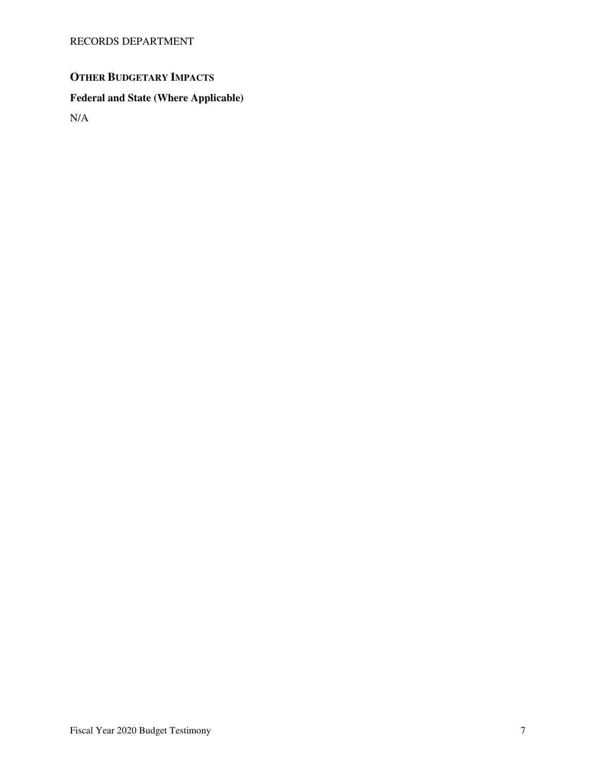## **OTHER BUDGETARY IMPACTS**

# **Federal and State (Where Applicable)**

N/A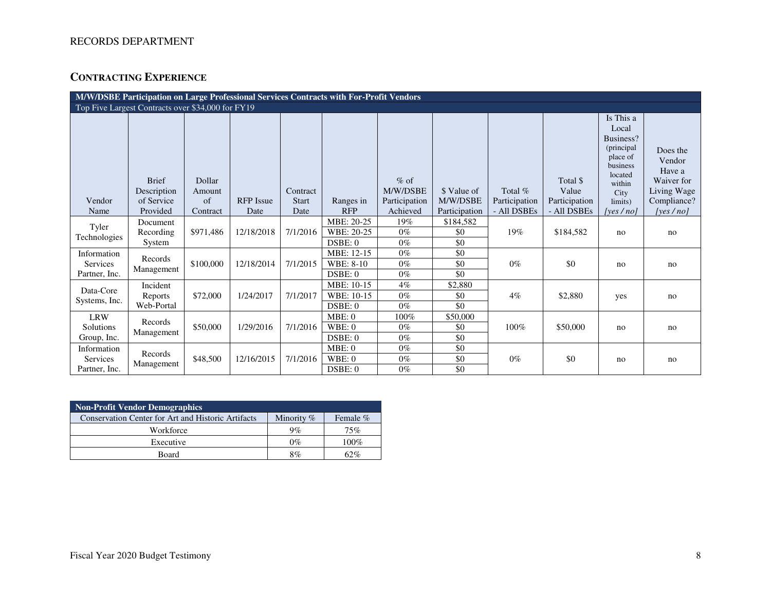### **CONTRACTING EXPERIENCE**

| M/W/DSBE Participation on Large Professional Services Contracts with For-Profit Vendors |                                                   |                        |                  |                          |                                     |                                     |                         |                            |                                    |                                                                                                               |                                                                          |
|-----------------------------------------------------------------------------------------|---------------------------------------------------|------------------------|------------------|--------------------------|-------------------------------------|-------------------------------------|-------------------------|----------------------------|------------------------------------|---------------------------------------------------------------------------------------------------------------|--------------------------------------------------------------------------|
|                                                                                         | Top Five Largest Contracts over \$34,000 for FY19 |                        |                  |                          |                                     |                                     |                         |                            |                                    |                                                                                                               |                                                                          |
| Vendor                                                                                  | <b>Brief</b><br>Description<br>of Service         | Dollar<br>Amount<br>of | <b>RFP</b> Issue | Contract<br><b>Start</b> | Ranges in                           | $%$ of<br>M/W/DSBE<br>Participation | \$ Value of<br>M/W/DSBE | Total $%$<br>Participation | Total \$<br>Value<br>Participation | Is This a<br>Local<br>Business?<br>(principal<br>place of<br>business<br>located<br>within<br>City<br>limits) | Does the<br>Vendor<br>Have a<br>Waiver for<br>Living Wage<br>Compliance? |
| Name                                                                                    | Provided                                          | Contract               | Date             | Date                     | <b>RFP</b>                          | Achieved                            | Participation           | - All DSBEs                | - All DSBEs                        | [yes / no]                                                                                                    | [yes $/no$ ]                                                             |
| Tyler<br>Technologies                                                                   | Document<br>Recording<br>System                   | \$971,486              | 12/18/2018       | 7/1/2016                 | MBE: 20-25<br>WBE: 20-25<br>DSBE: 0 | 19%<br>$0\%$<br>$0\%$               | \$184,582<br>\$0<br>\$0 | 19%                        | \$184,582                          | no                                                                                                            | no                                                                       |
| Information<br>Services<br>Partner, Inc.                                                | Records<br>Management                             | \$100,000              | 12/18/2014       | 7/1/2015                 | MBE: 12-15<br>WBE: 8-10<br>DSBE: 0  | $0\%$<br>$0\%$<br>$0\%$             | \$0<br>\$0<br>\$0       | $0\%$                      | \$0                                | no                                                                                                            | no                                                                       |
| Data-Core<br>Systems, Inc.                                                              | Incident<br>Reports<br>Web-Portal                 | \$72,000               | 1/24/2017        | 7/1/2017                 | MBE: 10-15<br>WBE: 10-15<br>DSBE: 0 | $4\%$<br>$0\%$<br>$0\%$             | \$2,880<br>\$0<br>\$0   | $4\%$                      | \$2,880                            | yes                                                                                                           | no                                                                       |
| <b>LRW</b><br>Solutions<br>Group, Inc.                                                  | Records<br>Management                             | \$50,000               | 1/29/2016        | 7/1/2016                 | MBE: 0<br>WBE:0<br>DSBE: 0          | 100%<br>$0\%$<br>$0\%$              | \$50,000<br>\$0<br>\$0  | 100%                       | \$50,000                           | no                                                                                                            | no                                                                       |
| Information<br><b>Services</b><br>Partner, Inc.                                         | Records<br>Management                             | \$48,500               | 12/16/2015       | 7/1/2016                 | MBE:0<br>WBE:0<br>DSBE: 0           | $0\%$<br>$0\%$<br>$0\%$             | \$0<br>\$0<br>\$0       | $0\%$                      | \$0                                | no                                                                                                            | no                                                                       |

| <b>Non-Profit Vendor Demographics</b>                     |              |          |  |  |  |  |  |
|-----------------------------------------------------------|--------------|----------|--|--|--|--|--|
| <b>Conservation Center for Art and Historic Artifacts</b> | Minority $%$ | Female % |  |  |  |  |  |
| Workforce                                                 | 9%           | 75%      |  |  |  |  |  |
| Executive                                                 | $0\%$        | $100\%$  |  |  |  |  |  |
| Board                                                     | 8%           | 62%      |  |  |  |  |  |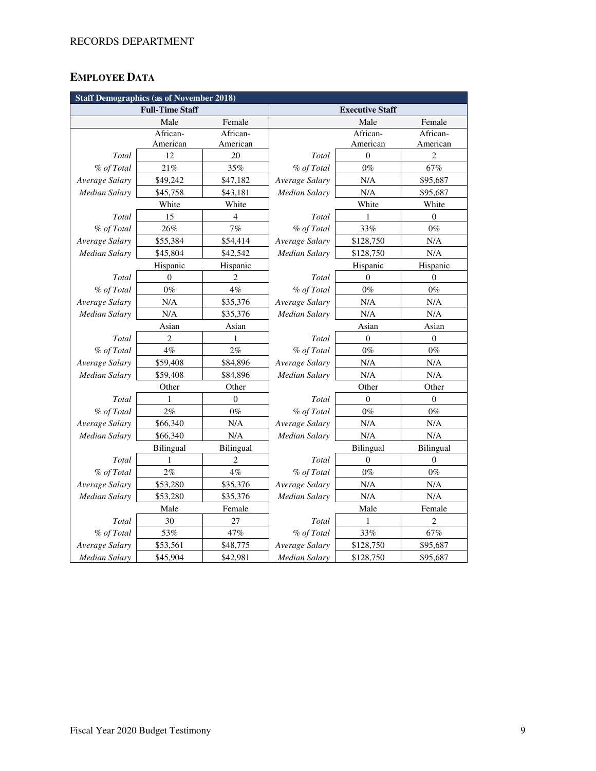### **EMPLOYEE DATA**

| <b>Staff Demographics (as of November 2018)</b> |                        |                |                        |                  |                  |  |  |
|-------------------------------------------------|------------------------|----------------|------------------------|------------------|------------------|--|--|
|                                                 | <b>Full-Time Staff</b> |                | <b>Executive Staff</b> |                  |                  |  |  |
|                                                 | Male                   | Female         |                        | Male             | Female           |  |  |
|                                                 | African-               | African-       |                        | African-         | African-         |  |  |
|                                                 | American               | American       |                        | American         | American         |  |  |
| Total                                           | 12                     | 20             | Total                  | $\theta$         | $\overline{c}$   |  |  |
| % of Total                                      | 21%                    | 35%            | % of Total             | $0\%$            | 67%              |  |  |
| Average Salary                                  | \$49,242               | \$47,182       | Average Salary         | N/A              | \$95,687         |  |  |
| <b>Median Salary</b>                            | \$45,758               | \$43,181       | Median Salary          | N/A              | \$95,687         |  |  |
|                                                 | White                  | White          |                        | White            | White            |  |  |
| Total                                           | 15                     | 4              | Total                  | 1                | $\theta$         |  |  |
| % of Total                                      | 26%                    | 7%             | % of Total             | 33%              | $0\%$            |  |  |
| Average Salary                                  | \$55,384               | \$54,414       | Average Salary         | \$128,750        | N/A              |  |  |
| <b>Median Salary</b>                            | \$45,804               | \$42,542       | Median Salary          | \$128,750        | N/A              |  |  |
|                                                 | Hispanic               | Hispanic       |                        | Hispanic         | Hispanic         |  |  |
| Total                                           | $\mathbf{0}$           | $\overline{2}$ | Total                  | $\mathbf{0}$     | $\mathbf{0}$     |  |  |
| % of Total                                      | $0\%$                  | $4\%$          | % of Total             | $0\%$            | $0\%$            |  |  |
| Average Salary                                  | N/A                    | \$35,376       | Average Salary         | N/A              | N/A              |  |  |
| <b>Median Salary</b>                            | N/A                    | \$35,376       | <b>Median Salary</b>   | N/A              | $\rm N/A$        |  |  |
|                                                 | Asian                  | Asian          | Asian                  |                  | Asian            |  |  |
| Total                                           | 2                      | 1              | Total                  | $\boldsymbol{0}$ | $\boldsymbol{0}$ |  |  |
| % of Total                                      | 4%                     | $2\%$          | % of Total             | $0\%$            | $0\%$            |  |  |
| Average Salary                                  | \$59,408               | \$84,896       | Average Salary         | N/A              | $\rm N/A$        |  |  |
| <b>Median Salary</b>                            | \$59,408               | \$84,896       | Median Salary          | N/A              | N/A              |  |  |
|                                                 | Other                  | Other          |                        | Other            | Other            |  |  |
| <b>Total</b>                                    | 1                      | $\mathbf{0}$   | Total                  | $\theta$         | $\mathbf{0}$     |  |  |
| % of Total                                      | 2%                     | $0\%$          | % of Total             | $0\%$            | $0\%$            |  |  |
| Average Salary                                  | \$66,340               | N/A            | Average Salary         | N/A              | N/A              |  |  |
| Median Salary                                   | \$66,340               | N/A            | Median Salary          | N/A              | N/A              |  |  |
|                                                 | Bilingual              | Bilingual      |                        | Bilingual        | Bilingual        |  |  |
| Total                                           | 1                      | $\overline{2}$ | Total                  | $\overline{0}$   | $\theta$         |  |  |
| % of Total                                      | 2%                     | 4%             | % of Total             | $0\%$            | $0\%$            |  |  |
| Average Salary                                  | \$53,280               | \$35,376       | Average Salary         | N/A              | $\rm N/A$        |  |  |
| Median Salary                                   | \$53,280               | \$35,376       | Median Salary          | N/A              | N/A              |  |  |
|                                                 | Male                   | Female         |                        | Male             | Female           |  |  |
| Total                                           | 30                     | 27             | Total                  | 1                | $\overline{c}$   |  |  |
| % of Total                                      | 53%                    | 47%            | % of Total             | 33%              | 67%              |  |  |
| Average Salary                                  | \$53,561               | \$48,775       | Average Salary         | \$128,750        | \$95,687         |  |  |
| <b>Median Salary</b>                            | \$45,904               | \$42,981       | <b>Median Salary</b>   | \$128,750        | \$95,687         |  |  |